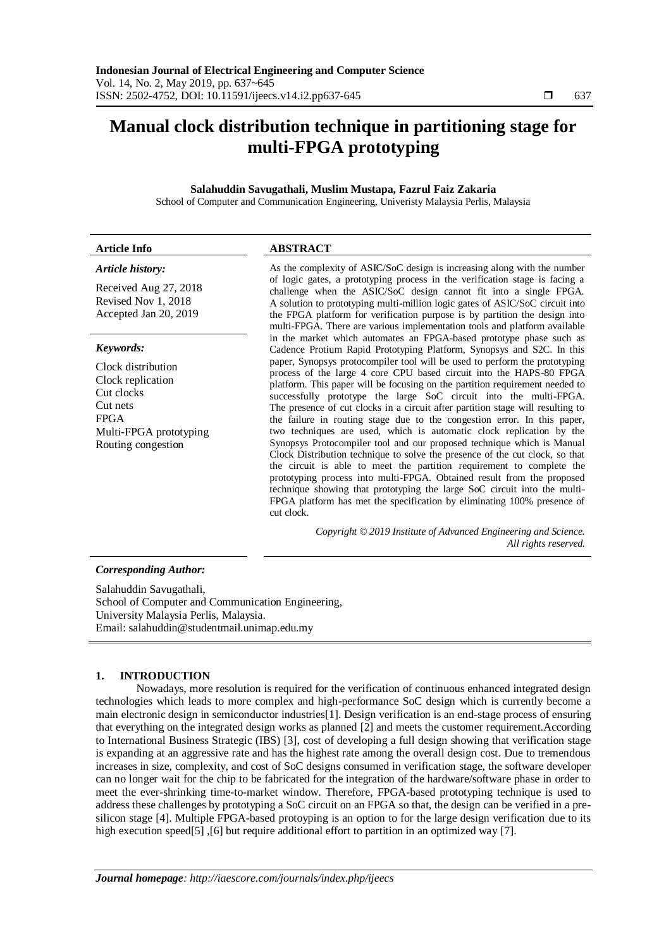# **Manual clock distribution technique in partitioning stage for multi-FPGA prototyping**

# **Salahuddin Savugathali, Muslim Mustapa, Fazrul Faiz Zakaria**

School of Computer and Communication Engineering, Univeristy Malaysia Perlis, Malaysia

### **Article Info ABSTRACT**

# *Article history:*

Received Aug 27, 2018 Revised Nov 1, 2018 Accepted Jan 20, 2019

# *Keywords:*

Clock distribution Clock replication Cut clocks Cut nets FPGA Multi-FPGA prototyping Routing congestion

As the complexity of ASIC/SoC design is increasing along with the number of logic gates, a prototyping process in the verification stage is facing a challenge when the ASIC/SoC design cannot fit into a single FPGA. A solution to prototyping multi-million logic gates of ASIC/SoC circuit into the FPGA platform for verification purpose is by partition the design into multi-FPGA. There are various implementation tools and platform available in the market which automates an FPGA-based prototype phase such as Cadence Protium Rapid Prototyping Platform, Synopsys and S2C. In this paper, Synopsys protocompiler tool will be used to perform the prototyping process of the large 4 core CPU based circuit into the HAPS-80 FPGA platform. This paper will be focusing on the partition requirement needed to successfully prototype the large SoC circuit into the multi-FPGA. The presence of cut clocks in a circuit after partition stage will resulting to the failure in routing stage due to the congestion error. In this paper, two techniques are used, which is automatic clock replication by the Synopsys Protocompiler tool and our proposed technique which is Manual Clock Distribution technique to solve the presence of the cut clock, so that the circuit is able to meet the partition requirement to complete the prototyping process into multi-FPGA. Obtained result from the proposed technique showing that prototyping the large SoC circuit into the multi-FPGA platform has met the specification by eliminating 100% presence of cut clock.

> *Copyright © 2019 Institute of Advanced Engineering and Science. All rights reserved.*

# *Corresponding Author:*

Salahuddin Savugathali, School of Computer and Communication Engineering, University Malaysia Perlis, Malaysia. Email: salahuddin@studentmail.unimap.edu.my

# **1. INTRODUCTION**

Nowadays, more resolution is required for the verification of continuous enhanced integrated design technologies which leads to more complex and high-performance SoC design which is currently become a main electronic design in semiconductor industries[1]. Design verification is an end-stage process of ensuring that everything on the integrated design works as planned [2] and meets the customer requirement.According to International Business Strategic (IBS) [3], cost of developing a full design showing that verification stage is expanding at an aggressive rate and has the highest rate among the overall design cost. Due to tremendous increases in size, complexity, and cost of SoC designs consumed in verification stage, the software developer can no longer wait for the chip to be fabricated for the integration of the hardware/software phase in order to meet the ever-shrinking time-to-market window. Therefore, FPGA-based prototyping technique is used to address these challenges by prototyping a SoC circuit on an FPGA so that, the design can be verified in a presilicon stage [4]. Multiple FPGA-based protoyping is an option to for the large design verification due to its high execution speed[5], [6] but require additional effort to partition in an optimized way [7][.](#page-1-0)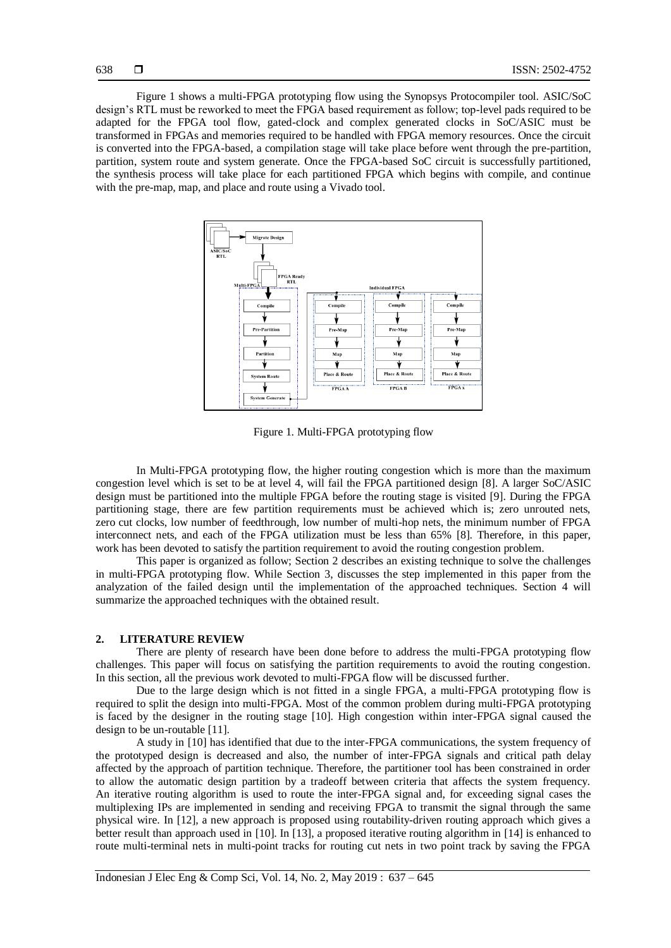[Figure 1](#page-1-0) shows a multi-FPGA prototyping flow using the Synopsys Protocompiler tool. ASIC/SoC design's RTL must be reworked to meet the FPGA based requirement as follow; top-level pads required to be adapted for the FPGA tool flow, gated-clock and complex generated clocks in SoC/ASIC must be transformed in FPGAs and memories required to be handled with FPGA memory resources. Once the circuit is converted into the FPGA-based, a compilation stage will take place before went through the pre-partition, partition, system route and system generate. Once the FPGA-based SoC circuit is successfully partitioned, the synthesis process will take place for each partitioned FPGA which begins with compile, and continue with the pre-map, map, and place and route using a Vivado tool.



Figure 1. Multi-FPGA prototyping flow

<span id="page-1-0"></span>In Multi-FPGA prototyping flow, the higher routing congestion which is more than the maximum congestion level which is set to be at level 4, will fail the FPGA partitioned design [8]. A larger SoC/ASIC design must be partitioned into the multiple FPGA before the routing stage is visited [9]. During the FPGA partitioning stage, there are few partition requirements must be achieved which is; zero unrouted nets, zero cut clocks, low number of feedthrough, low number of multi-hop nets, the minimum number of FPGA interconnect nets, and each of the FPGA utilization must be less than 65% [8]. Therefore, in this paper, work has been devoted to satisfy the partition requirement to avoid the routing congestion problem.

This paper is organized as follow; Section 2 describes an existing technique to solve the challenges in multi-FPGA prototyping flow. While Section 3, discusses the step implemented in this paper from the analyzation of the failed design until the implementation of the approached techniques. Section 4 will summarize the approached techniques with the obtained result.

### **2. LITERATURE REVIEW**

There are plenty of research have been done before to address the multi-FPGA prototyping flow challenges. This paper will focus on satisfying the partition requirements to avoid the routing congestion. In this section, all the previous work devoted to multi-FPGA flow will be discussed further.

Due to the large design which is not fitted in a single FPGA, a multi-FPGA prototyping flow is required to split the design into multi-FPGA. Most of the common problem during multi-FPGA prototyping is faced by the designer in the routing stage [10]. High congestion within inter-FPGA signal caused the design to be un-routable [11].

A study in [10] has identified that due to the inter-FPGA communications, the system frequency of the prototyped design is decreased and also, the number of inter-FPGA signals and critical path delay affected by the approach of partition technique. Therefore, the partitioner tool has been constrained in order to allow the automatic design partition by a tradeoff between criteria that affects the system frequency. An iterative routing algorithm is used to route the inter-FPGA signal and, for exceeding signal cases the multiplexing IPs are implemented in sending and receiving FPGA to transmit the signal through the same physical wire. In [12], a new approach is proposed using routability-driven routing approach which gives a better result than approach used in [10]. In [13], a proposed iterative routing algorithm in [14] is enhanced to route multi-terminal nets in multi-point tracks for routing cut nets in two point track by saving the FPGA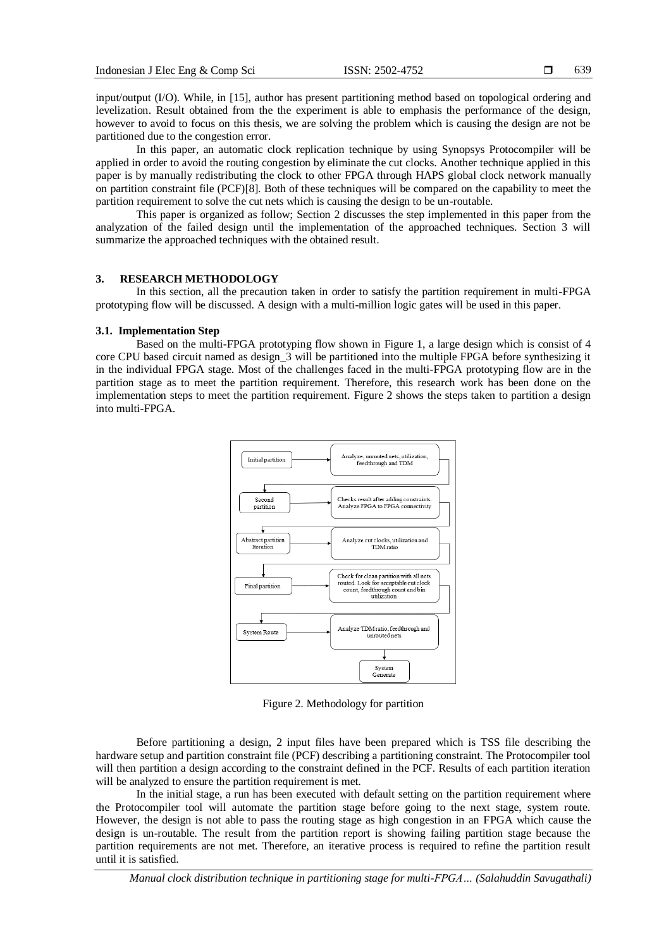639

input/output (I/O). While, in [15], author has present partitioning method based on topological ordering and levelization. Result obtained from the the experiment is able to emphasis the performance of the design, however to avoid to focus on this thesis, we are solving the problem which is causing the design are not be partitioned due to the congestion error.

In this paper, an automatic clock replication technique by using Synopsys Protocompiler will be applied in order to avoid the routing congestion by eliminate the cut clocks. Another technique applied in this paper is by manually redistributing the clock to other FPGA through HAPS global clock network manually on partition constraint file (PCF)[8]. Both of these techniques will be compared on the capability to meet the partition requirement to solve the cut nets which is causing the design to be un-routable.

This paper is organized as follow; Section 2 discusses the step implemented in this paper from the analyzation of the failed design until the implementation of the approached techniques. Section 3 will summarize the approached techniques with the obtained result.

### **3. RESEARCH METHODOLOGY**

In this section, all the precaution taken in order to satisfy the partition requirement in multi-FPGA prototyping flow will be discussed. A design with a multi-million logic gates will be used in this paper.

#### **3.1. Implementation Step**

Based on the multi-FPGA prototyping flow shown in Figure 1, a large design which is consist of 4 core CPU based circuit named as design 3 will be partitioned into the multiple FPGA before synthesizing it in the individual FPGA stage. Most of the challenges faced in the multi-FPGA prototyping flow are in the partition stage as to meet the partition requirement. Therefore, this research work has been done on the implementation steps to meet the partition requirement. Figure 2 shows the steps taken to partition a design into multi-FPGA.



Figure 2. Methodology for partition

Before partitioning a design, 2 input files have been prepared which is TSS file describing the hardware setup and partition constraint file (PCF) describing a partitioning constraint. The Protocompiler tool will then partition a design according to the constraint defined in the PCF. Results of each partition iteration will be analyzed to ensure the partition requirement is met.

In the initial stage, a run has been executed with default setting on the partition requirement where the Protocompiler tool will automate the partition stage before going to the next stage, system route. However, the design is not able to pass the routing stage as high congestion in an FPGA which cause the design is un-routable. The result from the partition report is showing failing partition stage because the partition requirements are not met. Therefore, an iterative process is required to refine the partition result until it is satisfied.

*Manual clock distribution technique in partitioning stage for multi-FPGA… (Salahuddin Savugathali)*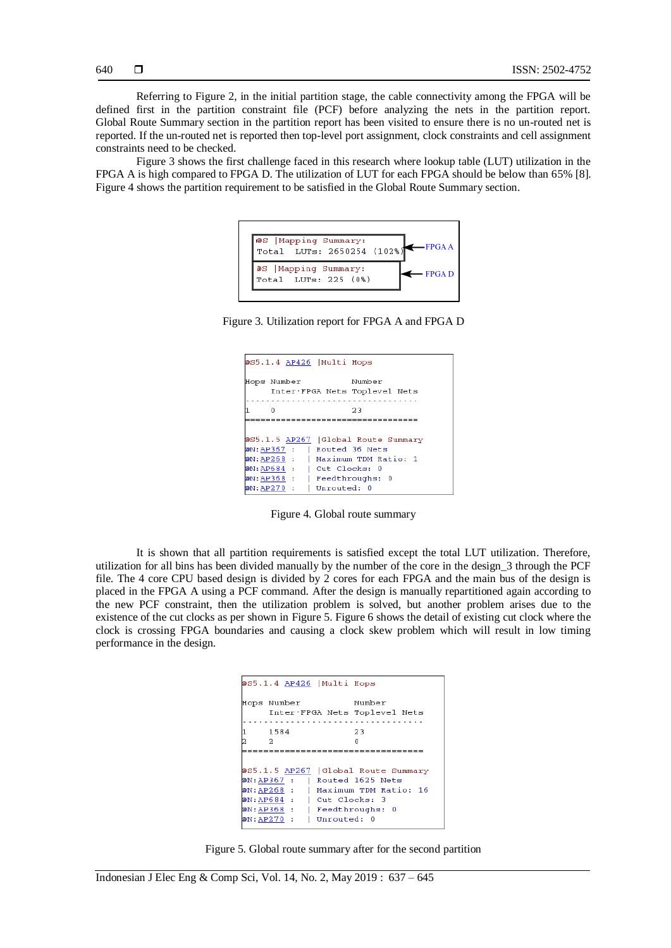Referring to Figure 2, in the initial partition stage, the cable connectivity among the FPGA will be defined first in the partition constraint file (PCF) before analyzing the nets in the partition report. Global Route Summary section in the partition report has been visited to ensure there is no un-routed net is reported. If the un-routed net is reported then top-level port assignment, clock constraints and cell assignment constraints need to be checked.

[Figure 3](#page-3-0) shows the first challenge faced in this research where lookup table (LUT) utilization in the FPGA A is high compared to FPGA D. The utilization of LUT for each FPGA should be below than 65% [8]. Figure 4 shows the partition requirement to be satisfied in the Global Route Summary section.



<span id="page-3-0"></span>Figure 3. Utilization report for FPGA A and FPGA D

| @S5.1.4 AP426   Multi Hops                                          |                                         |
|---------------------------------------------------------------------|-----------------------------------------|
| Hops Number                                                         | Number<br>Inter-FPGA Nets Toplevel Nets |
| Ω                                                                   | 23                                      |
|                                                                     |                                         |
| 0S5.1.5 AP267   Global Route Summary<br>@N:AP367 :   Routed 36 Nets |                                         |
| @N:AP268 :   Maximum TDM Ratio: 1                                   |                                         |
| @N:AP684 :                                                          | Cut Clocks: 0                           |
| @N:AP368 :                                                          | Feedthroughs: 0                         |
| @N:AP270 :                                                          | Unrouted: 0                             |

Figure 4. Global route summary

It is shown that all partition requirements is satisfied except the total LUT utilization. Therefore, utilization for all bins has been divided manually by the number of the core in the design\_3 through the PCF file. The 4 core CPU based design is divided by 2 cores for each FPGA and the main bus of the design is placed in the FPGA A using a PCF command. After the design is manually repartitioned again according to the new PCF constraint, then the utilization problem is solved, but another problem arises due to the existence of the cut clocks as per shown in Figure 5. Figure 6 shows the detail of existing cut clock where the clock is crossing FPGA boundaries and causing a clock skew problem which will result in low timing performance in the design.

| @S5.1.4 AP426  Multi Hops                  |             |                                                                                                             |
|--------------------------------------------|-------------|-------------------------------------------------------------------------------------------------------------|
| Hops Number                                |             | Number<br>Inter-FPGA Nets Toplevel Nets                                                                     |
| 1584<br>- 2                                |             | 23                                                                                                          |
| @N:AP684 :   Cut Clocks: 3                 |             | 0S5.1.5 AP267   Global Route Summary<br>@N:AP367 :   Routed 1625 Nets<br>@N:AP268 :   Maximum TDM Ratio: 16 |
| @N:AP368 :   Feedthroughs: 0<br>@N:AP270 : | Unrouted: 0 |                                                                                                             |

Figure 5. Global route summary after for the second partition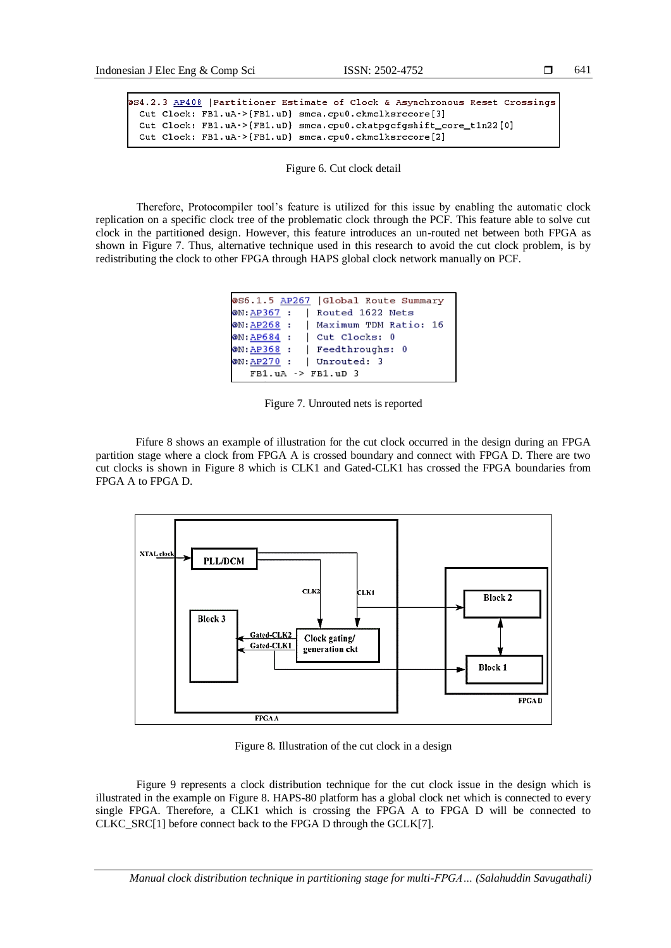```
641
```

```
054.2.3 AP408 | Partitioner Estimate of Clock & Asynchronous Reset Crossings
 Cut Clock: FB1.uA->{FB1.uD} smca.cpu0.ckmclksrccore[3]
 Cut Clock: FB1.uA->{FB1.uD} smca.cpu0.ckatpgcfgshift_core_t1n22[0]
 Cut Clock: FB1.uA->{FB1.uD} smca.cpu0.ckmclksrccore[2]
```
Figure 6. Cut clock detail

Therefore, Protocompiler tool's feature is utilized for this issue by enabling the automatic clock replication on a specific clock tree of the problematic clock through the PCF. This feature able to solve cut clock in the partitioned design. However, this feature introduces an un-routed net between both FPGA as shown in Figure 7. Thus, alternative technique used in this research to avoid the cut clock problem, is by redistributing the clock to other FPGA through HAPS global clock network manually on PCF.

```
@S6.1.5 AP267 | Global Route Summary
@N: AP367 : | Routed 1622 Nets
\PhiN: AP268 :
             | Maximum TDM Ratio: 16
@N:\overline{AP684} :
             Cut Clocks: 0
@N:<u>AP368</u> : | Feedthroughs: 0
@N: <u>AP270</u> : | Unrouted: 3
   FB1.uA -> FB1.uD 3
```
Figure 7. Unrouted nets is reported

Fifure 8 shows an example of illustration for the cut clock occurred in the design during an FPGA partition stage where a clock from FPGA A is crossed boundary and connect with FPGA D. There are two cut clocks is shown in Figure 8 which is CLK1 and Gated-CLK1 has crossed the FPGA boundaries from FPGA A to FPGA D.



Figure 8. Illustration of the cut clock in a design

Figure 9 represents a clock distribution technique for the cut clock issue in the design which is illustrated in the example on Figure 8. HAPS-80 platform has a global clock net which is connected to every single FPGA. Therefore, a CLK1 which is crossing the FPGA A to FPGA D will be connected to CLKC\_SRC[1] before connect back to the FPGA D through the GCLK[7].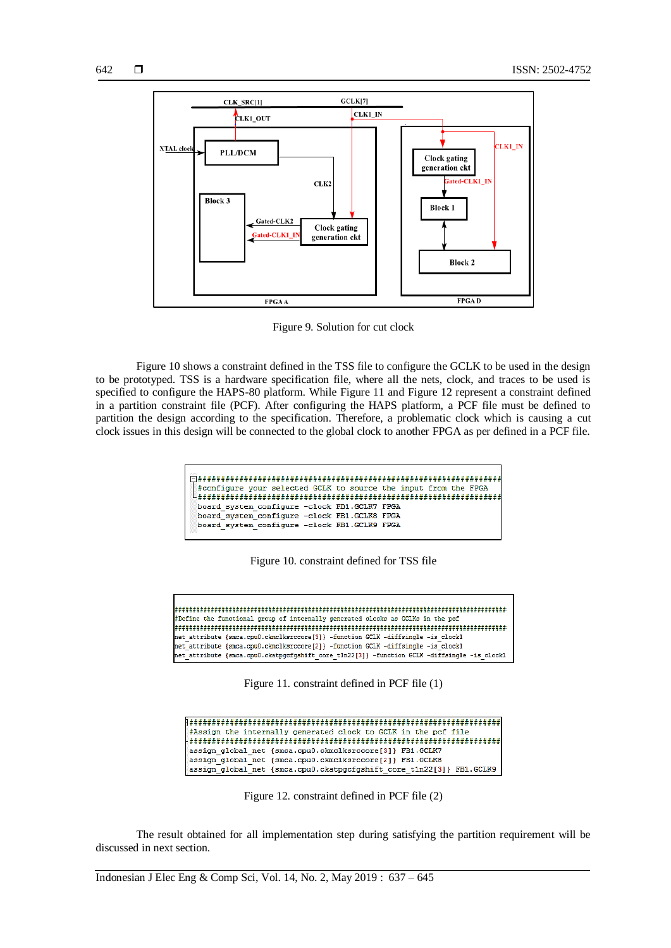

Figure 9. Solution for cut clock

Figure 10 shows a constraint defined in the TSS file to configure the GCLK to be used in the design to be prototyped. TSS is a hardware specification file, where all the nets, clock, and traces to be used is specified to configure the HAPS-80 platform. While Figure 11 and Figure 12 represent a constraint defined in a partition constraint file (PCF). After configuring the HAPS platform, a PCF file must be defined to partition the design according to the specification. Therefore, a problematic clock which is causing a cut clock issues in this design will be connected to the global clock to another FPGA as per defined in a PCF file.

```
#configure vour selected GCLK to source the input from the FPGA
board system configure -clock FB1.GCLK7 FPGA
board system configure -clock FB1.GCLK8 FPGA
board_system_configure -clock FB1.GCLK9 FPGA
```
### Figure 10. constraint defined for TSS file

#Define the functional group of internally generated clocks as GCLKs in the pcf net attribute {smca.cpu0.ckmclksrccore[3]} -function GCLK -diffsingle -is clock1 net\_attribute {smca.cpu0.ckmclksrccore[2]} -function GCLK -diffsingle -is\_clock1 net\_attribute {smca.cpu0.ckatpgcfgshift core\_t1n22[3]} -function GCLK -diffsingle -is\_clock1

Figure 11. constraint defined in PCF file (1)

| #Assign the internally generated clock to GCLK in the pcf file       |
|----------------------------------------------------------------------|
|                                                                      |
| assign global net {smca.cpu0.ckmclksrccore[3]} FB1.GCLK7             |
| assign global net {smca.cpu0.ckmclksrccore[2]} FB1.GCLK8             |
| assign global net {smca.cpu0.ckatpgcfgshift core t1n22[3]} FB1.GCLK9 |

Figure 12. constraint defined in PCF file (2)

The result obtained for all implementation step during satisfying the partition requirement will be discussed in next section.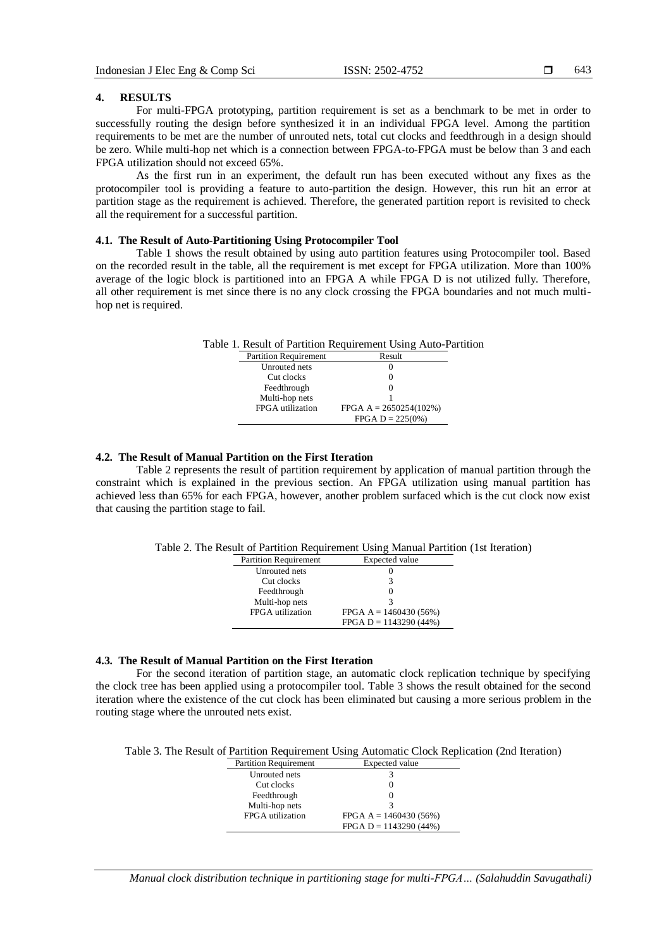### **4. RESULTS**

For multi-FPGA prototyping, partition requirement is set as a benchmark to be met in order to successfully routing the design before synthesized it in an individual FPGA level. Among the partition requirements to be met are the number of unrouted nets, total cut clocks and feedthrough in a design should be zero. While multi-hop net which is a connection between FPGA-to-FPGA must be below than 3 and each FPGA utilization should not exceed 65%.

As the first run in an experiment, the default run has been executed without any fixes as the protocompiler tool is providing a feature to auto-partition the design. However, this run hit an error at partition stage as the requirement is achieved. Therefore, the generated partition report is revisited to check all the requirement for a successful partition.

# **4.1. The Result of Auto-Partitioning Using Protocompiler Tool**

Table 1 shows the result obtained by using auto partition features using Protocompiler tool. Based on the recorded result in the table, all the requirement is met except for FPGA utilization. More than 100% average of the logic block is partitioned into an FPGA A while FPGA D is not utilized fully. Therefore, all other requirement is met since there is no any clock crossing the FPGA boundaries and not much multihop net is required.

|                              | Table 1. Result of Partition Requirement Using Auto-Partition |  |
|------------------------------|---------------------------------------------------------------|--|
| <b>Partition Requirement</b> | Result                                                        |  |
| Unrouted nets                | $\theta$                                                      |  |
| Cut clocks                   | $\theta$                                                      |  |
| Feedthrough                  |                                                               |  |
| Multi-hop nets               |                                                               |  |
| FPGA utilization             | FPGA A = $2650254(102%)$                                      |  |
|                              | $FPGA D = 225(0%)$                                            |  |

### **4.2. The Result of Manual Partition on the First Iteration**

Table 2 represents the result of partition requirement by application of manual partition through the constraint which is explained in the previous section. An FPGA utilization using manual partition has achieved less than 65% for each FPGA, however, another problem surfaced which is the cut clock now exist that causing the partition stage to fail.

Table 2. The Result of Partition Requirement Using Manual Partition (1st Iteration)

| <b>Partition Requirement</b> | Expected value           |
|------------------------------|--------------------------|
| Unrouted nets                |                          |
| Cut clocks                   | 3                        |
| Feedthrough                  |                          |
| Multi-hop nets               | 3                        |
| FPGA utilization             | FPGA A = $1460430(56%)$  |
|                              | $FPGA D = 1143290 (44%)$ |

## **4.3. The Result of Manual Partition on the First Iteration**

For the second iteration of partition stage, an automatic clock replication technique by specifying the clock tree has been applied using a protocompiler tool. Table 3 shows the result obtained for the second iteration where the existence of the cut clock has been eliminated but causing a more serious problem in the routing stage where the unrouted nets exist.

Table 3. The Result of Partition Requirement Using Automatic Clock Replication (2nd Iteration)

| <b>Partition Requirement</b> | <b>Expected</b> value    |
|------------------------------|--------------------------|
| Unrouted nets                |                          |
| Cut clocks                   | $\left( \right)$         |
| Feedthrough                  | $\left( \right)$         |
| Multi-hop nets               |                          |
| FPGA utilization             | FPGA $A = 1460430(56%)$  |
|                              | $FPGA D = 1143290 (44%)$ |

*Manual clock distribution technique in partitioning stage for multi-FPGA… (Salahuddin Savugathali)*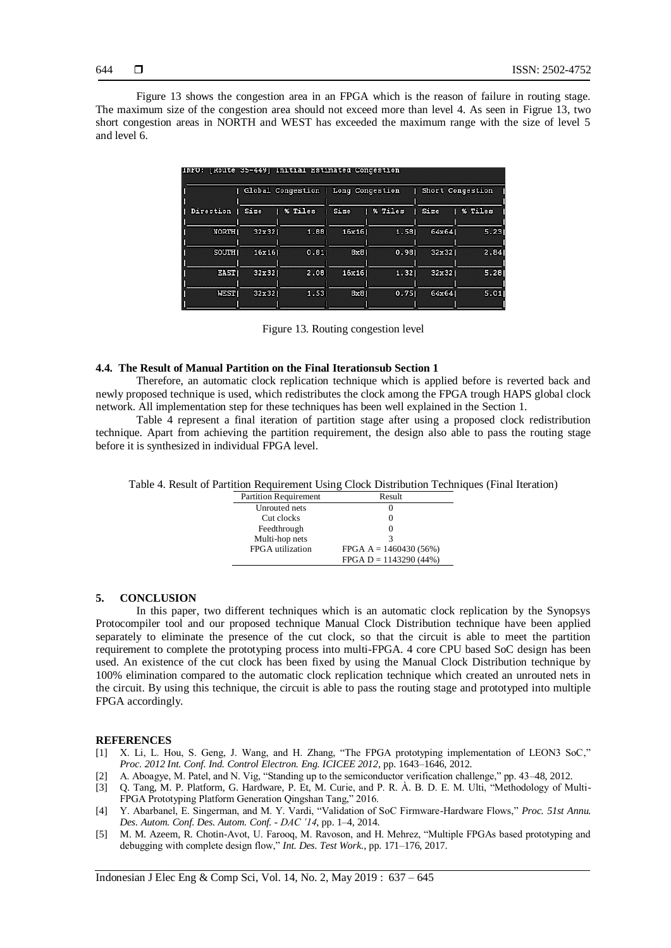Figure 13 shows the congestion area in an FPGA which is the reason of failure in routing stage. The maximum size of the congestion area should not exceed more than level 4. As seen in Figrue 13, two short congestion areas in NORTH and WEST has exceeded the maximum range with the size of level 5 and level 6.

|              |        | Global Congestion | Long Congestion |         | Short Congestion |            |
|--------------|--------|-------------------|-----------------|---------|------------------|------------|
| Direction    | Size   | % Tiles           | Size            | % Tiles | Size             | Tiles<br>% |
| <b>NORTH</b> | 32x321 | 1,881             | 16x16           | 1.58    | 64x641           | 5.231      |
| <b>SOUTH</b> | 16x161 | 0.81              | 8x8             | 0.981   | 32x321           | 2.84       |
| <b>EAST</b>  | 32x321 | 2.081             | 16x16           | 1.321   | 32x321           | 5.281      |
| <b>WESTI</b> | 32x321 | 1.531             | 8x81            | 0.751   | 64x641           | 5.01       |

Figure 13. Routing congestion level

#### **4.4. The Result of Manual Partition on the Final Iterationsub Section 1**

Therefore, an automatic clock replication technique which is applied before is reverted back and newly proposed technique is used, which redistributes the clock among the FPGA trough HAPS global clock network. All implementation step for these techniques has been well explained in the Section 1.

Table 4 represent a final iteration of partition stage after using a proposed clock redistribution technique. Apart from achieving the partition requirement, the design also able to pass the routing stage before it is synthesized in individual FPGA level.

| Table 4. Result of Partition Requirement Using Clock Distribution Techniques (Final Iteration) |  |  |
|------------------------------------------------------------------------------------------------|--|--|
|                                                                                                |  |  |

| <b>Partition Requirement</b> | Result                   |
|------------------------------|--------------------------|
| Unrouted nets                |                          |
| Cut clocks                   | $\mathcal{L}$            |
| Feedthrough                  | $\mathbf{U}$             |
| Multi-hop nets               |                          |
| FPGA utilization             | FPGA $A = 1460430(56%)$  |
|                              | $FPGA D = 1143290 (44%)$ |

#### **5. CONCLUSION**

In this paper, two different techniques which is an automatic clock replication by the Synopsys Protocompiler tool and our proposed technique Manual Clock Distribution technique have been applied separately to eliminate the presence of the cut clock, so that the circuit is able to meet the partition requirement to complete the prototyping process into multi-FPGA. 4 core CPU based SoC design has been used. An existence of the cut clock has been fixed by using the Manual Clock Distribution technique by 100% elimination compared to the automatic clock replication technique which created an unrouted nets in the circuit. By using this technique, the circuit is able to pass the routing stage and prototyped into multiple FPGA accordingly.

#### **REFERENCES**

- [1] X. Li, L. Hou, S. Geng, J. Wang, and H. Zhang, "The FPGA prototyping implementation of LEON3 SoC," *Proc. 2012 Int. Conf. Ind. Control Electron. Eng. ICICEE 2012*, pp. 1643–1646, 2012.
- [2] A. Aboagye, M. Patel, and N. Vig, "Standing up to the semiconductor verification challenge," pp. 43–48, 2012.
- [3] Q. Tang, M. P. Platform, G. Hardware, P. Et, M. Curie, and P. R. À. B. D. E. M. Ulti, "Methodology of Multi-FPGA Prototyping Platform Generation Qingshan Tang," 2016.
- [4] Y. Abarbanel, E. Singerman, and M. Y. Vardi, "Validation of SoC Firmware-Hardware Flows," *Proc. 51st Annu. Des. Autom. Conf. Des. Autom. Conf. - DAC '14*, pp. 1–4, 2014.
- [5] M. M. Azeem, R. Chotin-Avot, U. Farooq, M. Ravoson, and H. Mehrez, "Multiple FPGAs based prototyping and debugging with complete design flow," *Int. Des. Test Work.*, pp. 171–176, 2017.